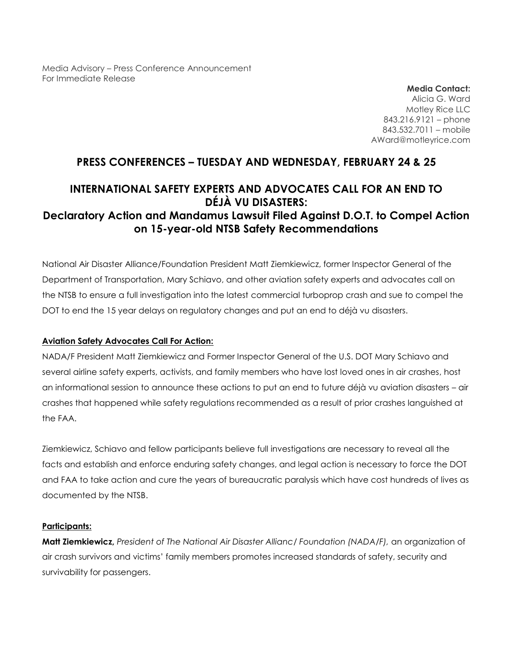Media Advisory – Press Conference Announcement For Immediate Release

> **Media Contact:** Alicia G. Ward Motley Rice LLC 843.216.9121 – phone 843.532.7011 – mobile AWard@motleyrice.com

## **PRESS CONFERENCES – TUESDAY AND WEDNESDAY, FEBRUARY 24 & 25**

# **INTERNATIONAL SAFETY EXPERTS AND ADVOCATES CALL FOR AN END TO DÉJÀ VU DISASTERS: Declaratory Action and Mandamus Lawsuit Filed Against D.O.T. to Compel Action on 15-year-old NTSB Safety Recommendations**

National Air Disaster Alliance/Foundation President Matt Ziemkiewicz, former Inspector General of the Department of Transportation, Mary Schiavo, and other aviation safety experts and advocates call on the NTSB to ensure a full investigation into the latest commercial turboprop crash and sue to compel the DOT to end the 15 year delays on regulatory changes and put an end to déjà vu disasters.

#### **Aviation Safety Advocates Call For Action:**

NADA/F President Matt Ziemkiewicz and Former Inspector General of the U.S. DOT Mary Schiavo and several airline safety experts, activists, and family members who have lost loved ones in air crashes, host an informational session to announce these actions to put an end to future déjà vu aviation disasters – air crashes that happened while safety regulations recommended as a result of prior crashes languished at the FAA.

Ziemkiewicz, Schiavo and fellow participants believe full investigations are necessary to reveal all the facts and establish and enforce enduring safety changes, and legal action is necessary to force the DOT and FAA to take action and cure the years of bureaucratic paralysis which have cost hundreds of lives as documented by the NTSB.

#### **Participants:**

**Matt Ziemkiewicz,** *President of The National Air Disaster Allianc/ Foundation (NADA/F),* an organization of air crash survivors and victims' family members promotes increased standards of safety, security and survivability for passengers.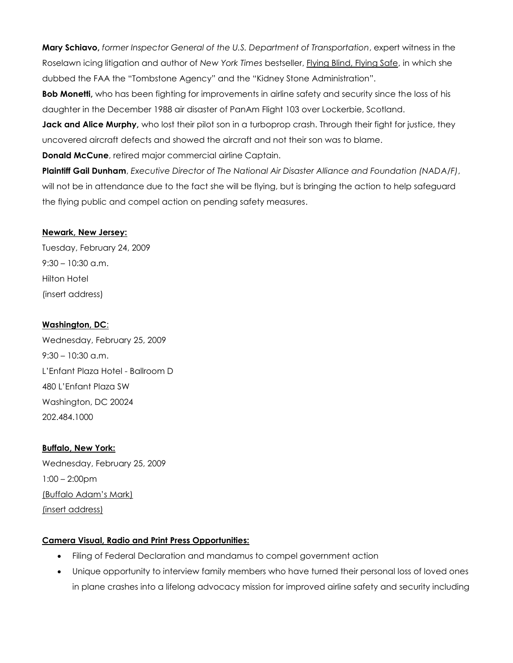**Mary Schiavo,** *former Inspector General of the U.S. Department of Transportation*, expert witness in the Roselawn icing litigation and author of *New York Times* bestseller, Flying Blind, Flying Safe, in which she dubbed the FAA the "Tombstone Agency" and the "Kidney Stone Administration".

**Bob Monetti,** who has been fighting for improvements in airline safety and security since the loss of his daughter in the December 1988 air disaster of PanAm Flight 103 over Lockerbie, Scotland.

**Jack and Alice Murphy**, who lost their pilot son in a turboprop crash. Through their fight for justice, they uncovered aircraft defects and showed the aircraft and not their son was to blame.

**Donald McCune**, retired major commercial airline Captain.

**Plaintiff Gail Dunham**, *Executive Director of The National Air Disaster Alliance and Foundation (NADA/F)*, will not be in attendance due to the fact she will be flying, but is bringing the action to help safeguard the flying public and compel action on pending safety measures.

#### **Newark, New Jersey:**

Tuesday, February 24, 2009 9:30 – 10:30 a.m. Hilton Hotel (insert address)

### **Washington, DC**:

Wednesday, February 25, 2009  $9:30 - 10:30$  a.m. L'Enfant Plaza Hotel - Ballroom D 480 L'Enfant Plaza SW Washington, DC 20024 202.484.1000

**Buffalo, New York:** Wednesday, February 25, 2009 1:00 – 2:00pm (Buffalo Adam's Mark) (insert address)

## **Camera Visual, Radio and Print Press Opportunities:**

- Filing of Federal Declaration and mandamus to compel government action
- Unique opportunity to interview family members who have turned their personal loss of loved ones in plane crashes into a lifelong advocacy mission for improved airline safety and security including